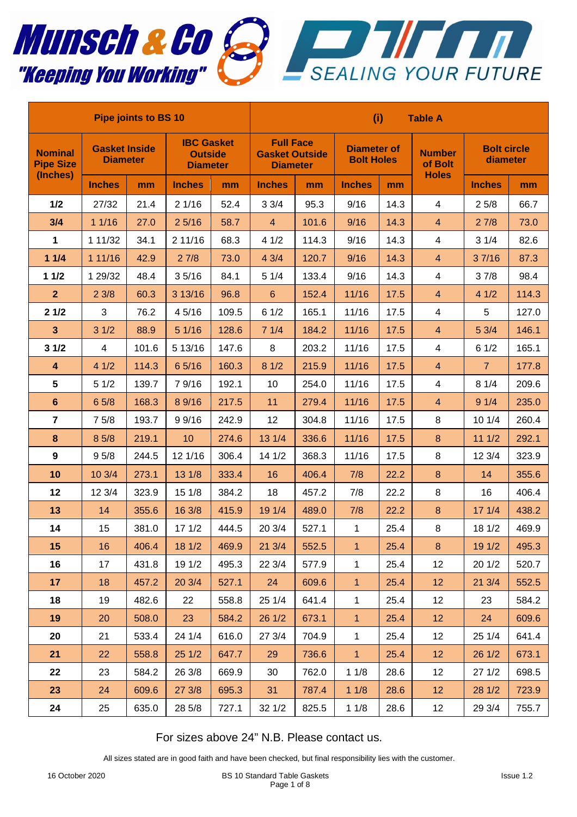



|                                    | <b>Pipe joints to BS 10</b>             |       |                                                        |       |                                                              | (i)<br><b>Table A</b> |                                         |      |                          |                                |       |  |  |  |
|------------------------------------|-----------------------------------------|-------|--------------------------------------------------------|-------|--------------------------------------------------------------|-----------------------|-----------------------------------------|------|--------------------------|--------------------------------|-------|--|--|--|
| <b>Nominal</b><br><b>Pipe Size</b> | <b>Gasket Inside</b><br><b>Diameter</b> |       | <b>IBC Gasket</b><br><b>Outside</b><br><b>Diameter</b> |       | <b>Full Face</b><br><b>Gasket Outside</b><br><b>Diameter</b> |                       | <b>Diameter of</b><br><b>Bolt Holes</b> |      | <b>Number</b><br>of Bolt | <b>Bolt circle</b><br>diameter |       |  |  |  |
| (Inches)                           | <b>Inches</b>                           | mm    | <b>Inches</b>                                          | mm    | <b>Inches</b>                                                | mm                    | <b>Inches</b>                           | mm   | <b>Holes</b>             | <b>Inches</b>                  | mm    |  |  |  |
| 1/2                                | 27/32                                   | 21.4  | 21/16                                                  | 52.4  | 33/4                                                         | 95.3                  | 9/16                                    | 14.3 | $\overline{4}$           | 25/8                           | 66.7  |  |  |  |
| 3/4                                | 11/16                                   | 27.0  | 25/16                                                  | 58.7  | $\overline{4}$                                               | 101.6                 | 9/16                                    | 14.3 | $\overline{4}$           | 27/8                           | 73.0  |  |  |  |
| 1                                  | 1 11/32                                 | 34.1  | 2 11/16                                                | 68.3  | 41/2                                                         | 114.3                 | 9/16                                    | 14.3 | 4                        | 31/4                           | 82.6  |  |  |  |
| 11/4                               | 1 11/16                                 | 42.9  | 27/8                                                   | 73.0  | 43/4                                                         | 120.7                 | 9/16                                    | 14.3 | $\overline{4}$           | 37/16                          | 87.3  |  |  |  |
| 11/2                               | 1 29/32                                 | 48.4  | 35/16                                                  | 84.1  | 51/4                                                         | 133.4                 | 9/16                                    | 14.3 | 4                        | 37/8                           | 98.4  |  |  |  |
| $\overline{2}$                     | 23/8                                    | 60.3  | 3 13/16                                                | 96.8  | $6\phantom{1}$                                               | 152.4                 | 11/16                                   | 17.5 | $\overline{4}$           | 41/2                           | 114.3 |  |  |  |
| 21/2                               | 3                                       | 76.2  | 45/16                                                  | 109.5 | 61/2                                                         | 165.1                 | 11/16                                   | 17.5 | 4                        | 5                              | 127.0 |  |  |  |
| $\mathbf{3}$                       | 31/2                                    | 88.9  | 51/16                                                  | 128.6 | 71/4                                                         | 184.2                 | 11/16                                   | 17.5 | $\overline{4}$           | 53/4                           | 146.1 |  |  |  |
| 31/2                               | $\overline{\mathbf{4}}$                 | 101.6 | 5 13/16                                                | 147.6 | 8                                                            | 203.2                 | 11/16                                   | 17.5 | 4                        | 61/2                           | 165.1 |  |  |  |
| 4                                  | 41/2                                    | 114.3 | 65/16                                                  | 160.3 | 81/2                                                         | 215.9                 | 11/16                                   | 17.5 | $\overline{4}$           | $\overline{7}$                 | 177.8 |  |  |  |
| 5                                  | 51/2                                    | 139.7 | 7 9/16                                                 | 192.1 | 10                                                           | 254.0                 | 11/16                                   | 17.5 | $\overline{4}$           | 81/4                           | 209.6 |  |  |  |
| $6\phantom{1}$                     | 6 5/8                                   | 168.3 | 8 9/16                                                 | 217.5 | 11                                                           | 279.4                 | 11/16                                   | 17.5 | $\overline{4}$           | 91/4                           | 235.0 |  |  |  |
| $\overline{7}$                     | 75/8                                    | 193.7 | 9 9/16                                                 | 242.9 | 12                                                           | 304.8                 | 11/16                                   | 17.5 | 8                        | 101/4                          | 260.4 |  |  |  |
| 8                                  | 8 5/8                                   | 219.1 | 10                                                     | 274.6 | 13 1/4                                                       | 336.6                 | 11/16                                   | 17.5 | 8                        | 111/2                          | 292.1 |  |  |  |
| $\boldsymbol{9}$                   | 95/8                                    | 244.5 | 12 1/16                                                | 306.4 | 14 1/2                                                       | 368.3                 | 11/16                                   | 17.5 | 8                        | 12 3/4                         | 323.9 |  |  |  |
| 10                                 | 10 3/4                                  | 273.1 | 13 1/8                                                 | 333.4 | 16                                                           | 406.4                 | 7/8                                     | 22.2 | $\bf 8$                  | 14                             | 355.6 |  |  |  |
| 12                                 | 12 3/4                                  | 323.9 | 15 1/8                                                 | 384.2 | 18                                                           | 457.2                 | 7/8                                     | 22.2 | 8                        | 16                             | 406.4 |  |  |  |
| 13                                 | 14                                      | 355.6 | 16 3/8                                                 | 415.9 | 19 1/4                                                       | 489.0                 | 7/8                                     | 22.2 | 8                        | 171/4                          | 438.2 |  |  |  |
| 14                                 | 15                                      | 381.0 | 171/2                                                  | 444.5 | 20 3/4                                                       | 527.1                 | 1                                       | 25.4 | 8                        | 18 1/2                         | 469.9 |  |  |  |
| 15                                 | 16                                      | 406.4 | 18 1/2                                                 | 469.9 | 21 3/4                                                       | 552.5                 | $\overline{1}$                          | 25.4 | 8                        | 19 1/2                         | 495.3 |  |  |  |
| 16                                 | 17                                      | 431.8 | 19 1/2                                                 | 495.3 | 22 3/4                                                       | 577.9                 | $\mathbf{1}$                            | 25.4 | 12                       | 20 1/2                         | 520.7 |  |  |  |
| 17                                 | 18                                      | 457.2 | 203/4                                                  | 527.1 | 24                                                           | 609.6                 | $\overline{1}$                          | 25.4 | 12                       | 21 3/4                         | 552.5 |  |  |  |
| 18                                 | 19                                      | 482.6 | 22                                                     | 558.8 | 25 1/4                                                       | 641.4                 | 1                                       | 25.4 | 12                       | 23                             | 584.2 |  |  |  |
| 19                                 | 20                                      | 508.0 | 23                                                     | 584.2 | 26 1/2                                                       | 673.1                 | $\mathbf{1}$                            | 25.4 | 12                       | 24                             | 609.6 |  |  |  |
| 20                                 | 21                                      | 533.4 | 24 1/4                                                 | 616.0 | 27 3/4                                                       | 704.9                 | $\mathbf{1}$                            | 25.4 | 12                       | 25 1/4                         | 641.4 |  |  |  |
| 21                                 | 22                                      | 558.8 | 251/2                                                  | 647.7 | 29                                                           | 736.6                 | $\mathbf{1}$                            | 25.4 | 12                       | 26 1/2                         | 673.1 |  |  |  |
| 22                                 | 23                                      | 584.2 | 26 3/8                                                 | 669.9 | 30                                                           | 762.0                 | 11/8                                    | 28.6 | 12                       | 271/2                          | 698.5 |  |  |  |
| 23                                 | 24                                      | 609.6 | 27 3/8                                                 | 695.3 | 31                                                           | 787.4                 | 11/8                                    | 28.6 | 12                       | 28 1/2                         | 723.9 |  |  |  |
| 24                                 | 25                                      | 635.0 | 28 5/8                                                 | 727.1 | 32 1/2                                                       | 825.5                 | 11/8                                    | 28.6 | 12                       | 29 3/4                         | 755.7 |  |  |  |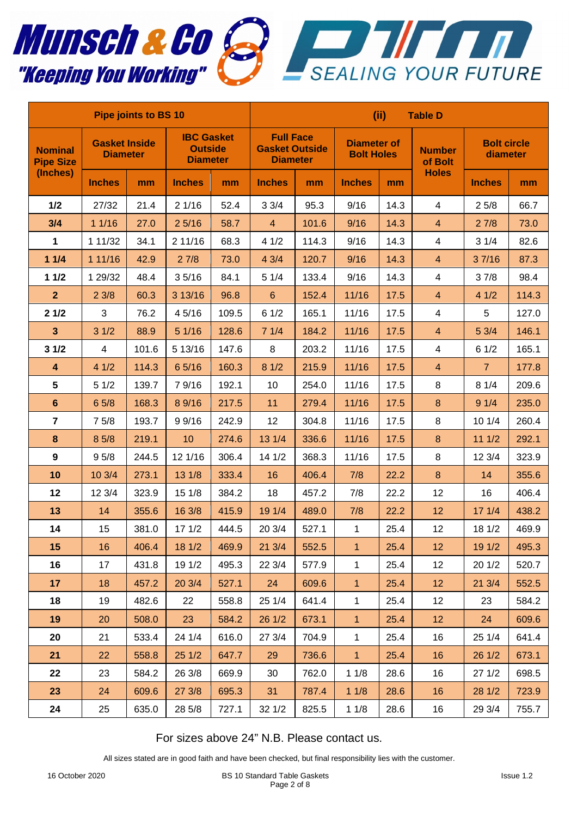



|                                    | <b>Pipe joints to BS 10</b>             |       |                                                        |       |                                                              | (ii)<br><b>Table D</b> |                                         |      |                          |                                |       |  |  |  |
|------------------------------------|-----------------------------------------|-------|--------------------------------------------------------|-------|--------------------------------------------------------------|------------------------|-----------------------------------------|------|--------------------------|--------------------------------|-------|--|--|--|
| <b>Nominal</b><br><b>Pipe Size</b> | <b>Gasket Inside</b><br><b>Diameter</b> |       | <b>IBC Gasket</b><br><b>Outside</b><br><b>Diameter</b> |       | <b>Full Face</b><br><b>Gasket Outside</b><br><b>Diameter</b> |                        | <b>Diameter of</b><br><b>Bolt Holes</b> |      | <b>Number</b><br>of Bolt | <b>Bolt circle</b><br>diameter |       |  |  |  |
| (Inches)                           | <b>Inches</b>                           | mm    | <b>Inches</b>                                          | mm    | <b>Inches</b>                                                | mm                     | <b>Inches</b>                           | mm   | <b>Holes</b>             | <b>Inches</b>                  | mm    |  |  |  |
| 1/2                                | 27/32                                   | 21.4  | 21/16                                                  | 52.4  | 33/4                                                         | 95.3                   | 9/16                                    | 14.3 | $\overline{4}$           | 25/8                           | 66.7  |  |  |  |
| 3/4                                | 11/16                                   | 27.0  | 25/16                                                  | 58.7  | $\overline{4}$                                               | 101.6                  | 9/16                                    | 14.3 | $\overline{4}$           | 27/8                           | 73.0  |  |  |  |
| $\mathbf 1$                        | 1 11/32                                 | 34.1  | 211/16                                                 | 68.3  | 41/2                                                         | 114.3                  | 9/16                                    | 14.3 | $\overline{4}$           | 31/4                           | 82.6  |  |  |  |
| 11/4                               | 1 11/16                                 | 42.9  | 27/8                                                   | 73.0  | 43/4                                                         | 120.7                  | 9/16                                    | 14.3 | $\overline{4}$           | 37/16                          | 87.3  |  |  |  |
| 11/2                               | 1 29/32                                 | 48.4  | 35/16                                                  | 84.1  | 51/4                                                         | 133.4                  | 9/16                                    | 14.3 | $\overline{4}$           | 37/8                           | 98.4  |  |  |  |
| $\overline{2}$                     | 23/8                                    | 60.3  | 3 13/16                                                | 96.8  | $6\phantom{1}6$                                              | 152.4                  | 11/16                                   | 17.5 | $\overline{4}$           | 41/2                           | 114.3 |  |  |  |
| 21/2                               | 3                                       | 76.2  | 4 5/16                                                 | 109.5 | 61/2                                                         | 165.1                  | 11/16                                   | 17.5 | 4                        | 5                              | 127.0 |  |  |  |
| $\mathbf{3}$                       | 31/2                                    | 88.9  | 51/16                                                  | 128.6 | 71/4                                                         | 184.2                  | 11/16                                   | 17.5 | $\overline{\mathbf{4}}$  | 53/4                           | 146.1 |  |  |  |
| 31/2                               | 4                                       | 101.6 | 5 13/16                                                | 147.6 | 8                                                            | 203.2                  | 11/16                                   | 17.5 | 4                        | 61/2                           | 165.1 |  |  |  |
| $\boldsymbol{4}$                   | 41/2                                    | 114.3 | 6 5/16                                                 | 160.3 | 81/2                                                         | 215.9                  | 11/16                                   | 17.5 | $\overline{4}$           | $\overline{7}$                 | 177.8 |  |  |  |
| 5                                  | 51/2                                    | 139.7 | 7 9/16                                                 | 192.1 | 10                                                           | 254.0                  | 11/16                                   | 17.5 | 8                        | 81/4                           | 209.6 |  |  |  |
| $\bf 6$                            | 6 5/8                                   | 168.3 | 8 9/16                                                 | 217.5 | 11                                                           | 279.4                  | 11/16                                   | 17.5 | $\bf 8$                  | 91/4                           | 235.0 |  |  |  |
| $\overline{7}$                     | 75/8                                    | 193.7 | 9 9/16                                                 | 242.9 | 12                                                           | 304.8                  | 11/16                                   | 17.5 | 8                        | 10 1/4                         | 260.4 |  |  |  |
| $\pmb{8}$                          | 8 5/8                                   | 219.1 | 10                                                     | 274.6 | 13 1/4                                                       | 336.6                  | 11/16                                   | 17.5 | $\bf{8}$                 | 111/2                          | 292.1 |  |  |  |
| $\boldsymbol{9}$                   | 95/8                                    | 244.5 | 12 1/16                                                | 306.4 | 141/2                                                        | 368.3                  | 11/16                                   | 17.5 | $\,8\,$                  | 12 3/4                         | 323.9 |  |  |  |
| 10                                 | 10 3/4                                  | 273.1 | 13 1/8                                                 | 333.4 | 16                                                           | 406.4                  | 7/8                                     | 22.2 | $\bf 8$                  | 14                             | 355.6 |  |  |  |
| 12                                 | 12 3/4                                  | 323.9 | 15 1/8                                                 | 384.2 | 18                                                           | 457.2                  | 7/8                                     | 22.2 | 12                       | 16                             | 406.4 |  |  |  |
| 13                                 | 14                                      | 355.6 | 16 3/8                                                 | 415.9 | 19 1/4                                                       | 489.0                  | 7/8                                     | 22.2 | 12                       | 17 1/4                         | 438.2 |  |  |  |
| 14                                 | 15                                      | 381.0 | 171/2                                                  | 444.5 | 20 3/4                                                       | 527.1                  | 1                                       | 25.4 | 12                       | 18 1/2                         | 469.9 |  |  |  |
| 15                                 | 16                                      | 406.4 | 18 1/2                                                 | 469.9 | 21 3/4                                                       | 552.5                  | 1                                       | 25.4 | 12                       | 19 1/2                         | 495.3 |  |  |  |
| 16                                 | 17                                      | 431.8 | 19 1/2                                                 | 495.3 | 22 3/4                                                       | 577.9                  | $\mathbf{1}$                            | 25.4 | 12                       | 20 1/2                         | 520.7 |  |  |  |
| 17 <sub>2</sub>                    | 18                                      | 457.2 | 20 3/4                                                 | 527.1 | 24                                                           | 609.6                  | $\mathbf{1}$                            | 25.4 | 12                       | 21 3/4                         | 552.5 |  |  |  |
| 18                                 | 19                                      | 482.6 | 22                                                     | 558.8 | 25 1/4                                                       | 641.4                  | $\mathbf{1}$                            | 25.4 | 12                       | 23                             | 584.2 |  |  |  |
| 19                                 | 20                                      | 508.0 | 23                                                     | 584.2 | 26 1/2                                                       | 673.1                  | $\overline{1}$                          | 25.4 | 12                       | 24                             | 609.6 |  |  |  |
| 20                                 | 21                                      | 533.4 | 24 1/4                                                 | 616.0 | 27 3/4                                                       | 704.9                  | $\mathbf 1$                             | 25.4 | 16                       | 25 1/4                         | 641.4 |  |  |  |
| 21                                 | 22                                      | 558.8 | 251/2                                                  | 647.7 | 29                                                           | 736.6                  | 1                                       | 25.4 | 16                       | 26 1/2                         | 673.1 |  |  |  |
| 22                                 | 23                                      | 584.2 | 26 3/8                                                 | 669.9 | 30                                                           | 762.0                  | 11/8                                    | 28.6 | 16                       | 271/2                          | 698.5 |  |  |  |
| 23                                 | 24                                      | 609.6 | 27 3/8                                                 | 695.3 | 31                                                           | 787.4                  | 11/8                                    | 28.6 | 16                       | 28 1/2                         | 723.9 |  |  |  |
| 24                                 | 25                                      | 635.0 | 28 5/8                                                 | 727.1 | 32 1/2                                                       | 825.5                  | 11/8                                    | 28.6 | 16                       | 29 3/4                         | 755.7 |  |  |  |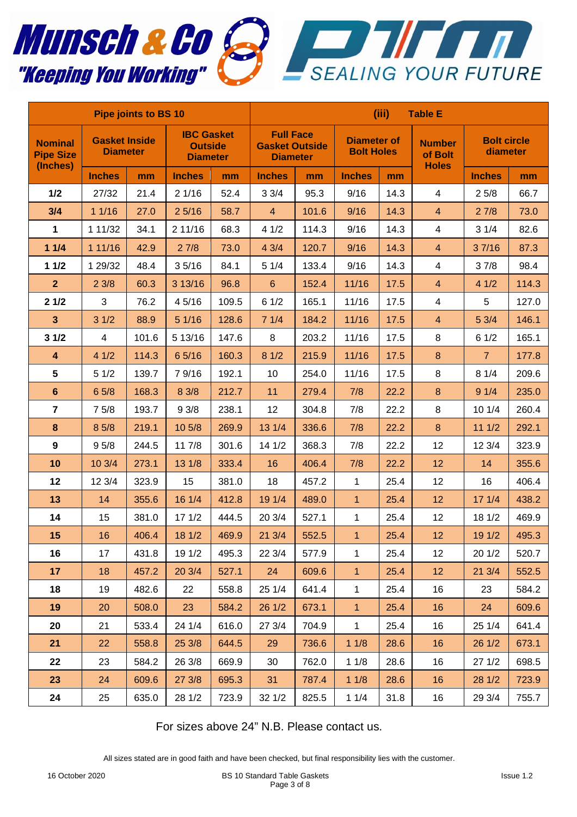



|                                                | <b>Pipe joints to BS 10</b>             |       |               |                                                        |                | (iii)<br><b>Table E</b>                                      |                |                                         |                                          |                                |       |  |  |  |
|------------------------------------------------|-----------------------------------------|-------|---------------|--------------------------------------------------------|----------------|--------------------------------------------------------------|----------------|-----------------------------------------|------------------------------------------|--------------------------------|-------|--|--|--|
| <b>Nominal</b><br><b>Pipe Size</b><br>(Inches) | <b>Gasket Inside</b><br><b>Diameter</b> |       |               | <b>IBC Gasket</b><br><b>Outside</b><br><b>Diameter</b> |                | <b>Full Face</b><br><b>Gasket Outside</b><br><b>Diameter</b> |                | <b>Diameter of</b><br><b>Bolt Holes</b> | <b>Number</b><br>of Bolt<br><b>Holes</b> | <b>Bolt circle</b><br>diameter |       |  |  |  |
|                                                | <b>Inches</b>                           | mm    | <b>Inches</b> | mm                                                     | <b>Inches</b>  | mm                                                           | <b>Inches</b>  | mm                                      |                                          | <b>Inches</b>                  | mm    |  |  |  |
| 1/2                                            | 27/32                                   | 21.4  | 21/16         | 52.4                                                   | 33/4           | 95.3                                                         | 9/16           | 14.3                                    | $\overline{4}$                           | 25/8                           | 66.7  |  |  |  |
| 3/4                                            | 11/16                                   | 27.0  | 25/16         | 58.7                                                   | $\overline{4}$ | 101.6                                                        | 9/16           | 14.3                                    | $\overline{4}$                           | 27/8                           | 73.0  |  |  |  |
| 1                                              | 1 11/32                                 | 34.1  | 211/16        | 68.3                                                   | 41/2           | 114.3                                                        | 9/16           | 14.3                                    | $\overline{4}$                           | 31/4                           | 82.6  |  |  |  |
| 11/4                                           | 111/16                                  | 42.9  | 27/8          | 73.0                                                   | 43/4           | 120.7                                                        | 9/16           | 14.3                                    | $\overline{4}$                           | 37/16                          | 87.3  |  |  |  |
| 11/2                                           | 1 29/32                                 | 48.4  | 35/16         | 84.1                                                   | 51/4           | 133.4                                                        | 9/16           | 14.3                                    | 4                                        | 37/8                           | 98.4  |  |  |  |
| $\overline{2}$                                 | 23/8                                    | 60.3  | 3 13/16       | 96.8                                                   | $6\phantom{1}$ | 152.4                                                        | 11/16          | 17.5                                    | $\overline{4}$                           | 41/2                           | 114.3 |  |  |  |
| 21/2                                           | 3                                       | 76.2  | 45/16         | 109.5                                                  | 61/2           | 165.1                                                        | 11/16          | 17.5                                    | 4                                        | 5                              | 127.0 |  |  |  |
| $\overline{\mathbf{3}}$                        | 31/2                                    | 88.9  | 51/16         | 128.6                                                  | 71/4           | 184.2                                                        | 11/16          | 17.5                                    | $\overline{4}$                           | 53/4                           | 146.1 |  |  |  |
| 31/2                                           | $\overline{\mathbf{4}}$                 | 101.6 | 5 13/16       | 147.6                                                  | 8              | 203.2                                                        | 11/16          | 17.5                                    | 8                                        | 61/2                           | 165.1 |  |  |  |
| 4                                              | 41/2                                    | 114.3 | 6 5/16        | 160.3                                                  | 81/2           | 215.9                                                        | 11/16          | 17.5                                    | $\bf 8$                                  | $\overline{7}$                 | 177.8 |  |  |  |
| 5                                              | 51/2                                    | 139.7 | 79/16         | 192.1                                                  | 10             | 254.0                                                        | 11/16          | 17.5                                    | $\,8\,$                                  | 81/4                           | 209.6 |  |  |  |
| $6\phantom{a}$                                 | 65/8                                    | 168.3 | 8 3/8         | 212.7                                                  | 11             | 279.4                                                        | 7/8            | 22.2                                    | $\boldsymbol{8}$                         | 91/4                           | 235.0 |  |  |  |
| $\overline{7}$                                 | 75/8                                    | 193.7 | 93/8          | 238.1                                                  | 12             | 304.8                                                        | 7/8            | 22.2                                    | 8                                        | 10 1/4                         | 260.4 |  |  |  |
| $\pmb{8}$                                      | 8 5/8                                   | 219.1 | 10 5/8        | 269.9                                                  | 13 1/4         | 336.6                                                        | 7/8            | 22.2                                    | $\boldsymbol{8}$                         | 111/2                          | 292.1 |  |  |  |
| 9                                              | 95/8                                    | 244.5 | 11 7/8        | 301.6                                                  | 14 1/2         | 368.3                                                        | 7/8            | 22.2                                    | 12                                       | 12 3/4                         | 323.9 |  |  |  |
| 10                                             | 10 3/4                                  | 273.1 | 13 1/8        | 333.4                                                  | 16             | 406.4                                                        | 7/8            | 22.2                                    | 12                                       | 14                             | 355.6 |  |  |  |
| 12                                             | 12 3/4                                  | 323.9 | 15            | 381.0                                                  | 18             | 457.2                                                        | 1              | 25.4                                    | 12                                       | 16                             | 406.4 |  |  |  |
| 13                                             | 14                                      | 355.6 | 16 1/4        | 412.8                                                  | 19 1/4         | 489.0                                                        | $\mathbf{1}$   | 25.4                                    | 12                                       | 17 1/4                         | 438.2 |  |  |  |
| 14                                             | 15                                      | 381.0 | 171/2         | 444.5                                                  | 20 3/4         | 527.1                                                        | 1              | 25.4                                    | 12                                       | 18 1/2                         | 469.9 |  |  |  |
| 15                                             | 16                                      | 406.4 | 18 1/2        | 469.9                                                  | 213/4          | 552.5                                                        | 1              | 25.4                                    | 12                                       | 19 1/2                         | 495.3 |  |  |  |
| 16                                             | 17                                      | 431.8 | 19 1/2        | 495.3                                                  | 22 3/4         | 577.9                                                        | $\mathbf{1}$   | 25.4                                    | 12                                       | 201/2                          | 520.7 |  |  |  |
| 17                                             | 18                                      | 457.2 | 20 3/4        | 527.1                                                  | 24             | 609.6                                                        | 1 <sup>1</sup> | 25.4                                    | 12 <sup>°</sup>                          | 213/4                          | 552.5 |  |  |  |
| 18                                             | 19                                      | 482.6 | 22            | 558.8                                                  | 25 1/4         | 641.4                                                        | $\mathbf{1}$   | 25.4                                    | 16                                       | 23                             | 584.2 |  |  |  |
| 19                                             | 20                                      | 508.0 | 23            | 584.2                                                  | 261/2          | 673.1                                                        | $\mathbf{1}$   | 25.4                                    | 16                                       | 24                             | 609.6 |  |  |  |
| 20                                             | 21                                      | 533.4 | 24 1/4        | 616.0                                                  | 27 3/4         | 704.9                                                        | $\mathbf{1}$   | 25.4                                    | 16                                       | 25 1/4                         | 641.4 |  |  |  |
| 21                                             | 22                                      | 558.8 | 25 3/8        | 644.5                                                  | 29             | 736.6                                                        | 11/8           | 28.6                                    | 16                                       | 261/2                          | 673.1 |  |  |  |
| 22                                             | 23                                      | 584.2 | 26 3/8        | 669.9                                                  | 30             | 762.0                                                        | 11/8           | 28.6                                    | 16                                       | 271/2                          | 698.5 |  |  |  |
| 23                                             | 24                                      | 609.6 | 27 3/8        | 695.3                                                  | 31             | 787.4                                                        | 11/8           | 28.6                                    | 16                                       | 28 1/2                         | 723.9 |  |  |  |
| 24                                             | 25                                      | 635.0 | 28 1/2        | 723.9                                                  | 321/2          | 825.5                                                        | 11/4           | 31.8                                    | 16                                       | 29 3/4                         | 755.7 |  |  |  |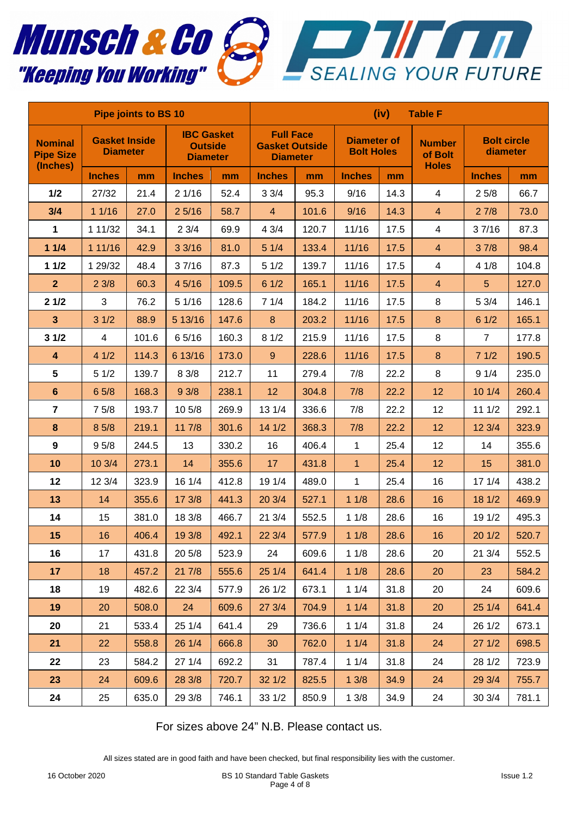



|                                                | <b>Pipe joints to BS 10</b>             |       |               |                                                        |                |                                                              | (iv)<br><b>Table F</b>                  |      |                                          |                                |       |  |  |  |  |
|------------------------------------------------|-----------------------------------------|-------|---------------|--------------------------------------------------------|----------------|--------------------------------------------------------------|-----------------------------------------|------|------------------------------------------|--------------------------------|-------|--|--|--|--|
| <b>Nominal</b><br><b>Pipe Size</b><br>(Inches) | <b>Gasket Inside</b><br><b>Diameter</b> |       |               | <b>IBC Gasket</b><br><b>Outside</b><br><b>Diameter</b> |                | <b>Full Face</b><br><b>Gasket Outside</b><br><b>Diameter</b> | <b>Diameter of</b><br><b>Bolt Holes</b> |      | <b>Number</b><br>of Bolt<br><b>Holes</b> | <b>Bolt circle</b><br>diameter |       |  |  |  |  |
|                                                | <b>Inches</b>                           | mm    | <b>Inches</b> | mm                                                     | <b>Inches</b>  | mm                                                           | <b>Inches</b>                           | mm   |                                          | <b>Inches</b>                  | mm    |  |  |  |  |
| 1/2                                            | 27/32                                   | 21.4  | 21/16         | 52.4                                                   | 33/4           | 95.3                                                         | 9/16                                    | 14.3 | $\overline{4}$                           | 25/8                           | 66.7  |  |  |  |  |
| 3/4                                            | 11/16                                   | 27.0  | 25/16         | 58.7                                                   | $\overline{4}$ | 101.6                                                        | 9/16                                    | 14.3 | $\overline{4}$                           | 27/8                           | 73.0  |  |  |  |  |
| $\mathbf{1}$                                   | 1 11/32                                 | 34.1  | 23/4          | 69.9                                                   | 43/4           | 120.7                                                        | 11/16                                   | 17.5 | $\overline{4}$                           | 37/16                          | 87.3  |  |  |  |  |
| 11/4                                           | 111/16                                  | 42.9  | 33/16         | 81.0                                                   | 51/4           | 133.4                                                        | 11/16                                   | 17.5 | $\overline{4}$                           | 37/8                           | 98.4  |  |  |  |  |
| 11/2                                           | 1 29/32                                 | 48.4  | 37/16         | 87.3                                                   | 51/2           | 139.7                                                        | 11/16                                   | 17.5 | 4                                        | 41/8                           | 104.8 |  |  |  |  |
| $\overline{2}$                                 | 23/8                                    | 60.3  | 4 5/16        | 109.5                                                  | 61/2           | 165.1                                                        | 11/16                                   | 17.5 | $\overline{4}$                           | 5                              | 127.0 |  |  |  |  |
| 21/2                                           | 3                                       | 76.2  | 51/16         | 128.6                                                  | 71/4           | 184.2                                                        | 11/16                                   | 17.5 | 8                                        | 5 3/4                          | 146.1 |  |  |  |  |
| $\mathbf{3}$                                   | 31/2                                    | 88.9  | 5 13/16       | 147.6                                                  | 8              | 203.2                                                        | 11/16                                   | 17.5 | $\bf 8$                                  | 61/2                           | 165.1 |  |  |  |  |
| 31/2                                           | 4                                       | 101.6 | 65/16         | 160.3                                                  | 81/2           | 215.9                                                        | 11/16                                   | 17.5 | 8                                        | $\overline{7}$                 | 177.8 |  |  |  |  |
| 4                                              | 41/2                                    | 114.3 | 6 13/16       | 173.0                                                  | $9\,$          | 228.6                                                        | 11/16                                   | 17.5 | $\bf 8$                                  | 71/2                           | 190.5 |  |  |  |  |
| 5                                              | 51/2                                    | 139.7 | 8 3/8         | 212.7                                                  | 11             | 279.4                                                        | 7/8                                     | 22.2 | 8                                        | 91/4                           | 235.0 |  |  |  |  |
| $6\phantom{a}$                                 | 6 5/8                                   | 168.3 | 93/8          | 238.1                                                  | 12             | 304.8                                                        | 7/8                                     | 22.2 | 12                                       | 10 1/4                         | 260.4 |  |  |  |  |
| $\overline{7}$                                 | 75/8                                    | 193.7 | 10 5/8        | 269.9                                                  | 13 1/4         | 336.6                                                        | 7/8                                     | 22.2 | 12                                       | 111/2                          | 292.1 |  |  |  |  |
| 8                                              | 8 5/8                                   | 219.1 | 117/8         | 301.6                                                  | 14 1/2         | 368.3                                                        | 7/8                                     | 22.2 | 12                                       | 12 3/4                         | 323.9 |  |  |  |  |
| 9                                              | 95/8                                    | 244.5 | 13            | 330.2                                                  | 16             | 406.4                                                        | 1                                       | 25.4 | 12                                       | 14                             | 355.6 |  |  |  |  |
| 10                                             | 10 3/4                                  | 273.1 | 14            | 355.6                                                  | 17             | 431.8                                                        | $\overline{1}$                          | 25.4 | 12                                       | 15                             | 381.0 |  |  |  |  |
| 12                                             | 12 3/4                                  | 323.9 | 16 1/4        | 412.8                                                  | 19 1/4         | 489.0                                                        | 1                                       | 25.4 | 16                                       | 17 1/4                         | 438.2 |  |  |  |  |
| 13                                             | 14                                      | 355.6 | 17 3/8        | 441.3                                                  | 20 3/4         | 527.1                                                        | 11/8                                    | 28.6 | 16                                       | 18 1/2                         | 469.9 |  |  |  |  |
| 14                                             | 15                                      | 381.0 | 18 3/8        | 466.7                                                  | 21 3/4         | 552.5                                                        | 11/8                                    | 28.6 | 16                                       | 19 1/2                         | 495.3 |  |  |  |  |
| 15                                             | 16                                      | 406.4 | 19 3/8        | 492.1                                                  | 22 3/4         | 577.9                                                        | 11/8                                    | 28.6 | 16                                       | 20 1/2                         | 520.7 |  |  |  |  |
| 16                                             | 17                                      | 431.8 | 20 5/8        | 523.9                                                  | 24             | 609.6                                                        | 11/8                                    | 28.6 | 20                                       | 21 3/4                         | 552.5 |  |  |  |  |
| 17                                             | 18                                      | 457.2 | 21 7/8        | 555.6                                                  | 25 1/4         | 641.4                                                        | 11/8                                    | 28.6 | 20                                       | 23                             | 584.2 |  |  |  |  |
| 18                                             | 19                                      | 482.6 | 22 3/4        | 577.9                                                  | 26 1/2         | 673.1                                                        | 11/4                                    | 31.8 | 20                                       | 24                             | 609.6 |  |  |  |  |
| 19                                             | 20                                      | 508.0 | 24            | 609.6                                                  | 27 3/4         | 704.9                                                        | 11/4                                    | 31.8 | 20                                       | 25 1/4                         | 641.4 |  |  |  |  |
| 20                                             | 21                                      | 533.4 | 25 1/4        | 641.4                                                  | 29             | 736.6                                                        | 11/4                                    | 31.8 | 24                                       | 26 1/2                         | 673.1 |  |  |  |  |
| 21                                             | 22                                      | 558.8 | 26 1/4        | 666.8                                                  | 30             | 762.0                                                        | 11/4                                    | 31.8 | 24                                       | 271/2                          | 698.5 |  |  |  |  |
| 22                                             | 23                                      | 584.2 | 27 1/4        | 692.2                                                  | 31             | 787.4                                                        | 11/4                                    | 31.8 | 24                                       | 28 1/2                         | 723.9 |  |  |  |  |
| 23                                             | 24                                      | 609.6 | 28 3/8        | 720.7                                                  | 321/2          | 825.5                                                        | 13/8                                    | 34.9 | 24                                       | 29 3/4                         | 755.7 |  |  |  |  |
| 24                                             | 25                                      | 635.0 | 29 3/8        | 746.1                                                  | 33 1/2         | 850.9                                                        | 13/8                                    | 34.9 | 24                                       | 303/4                          | 781.1 |  |  |  |  |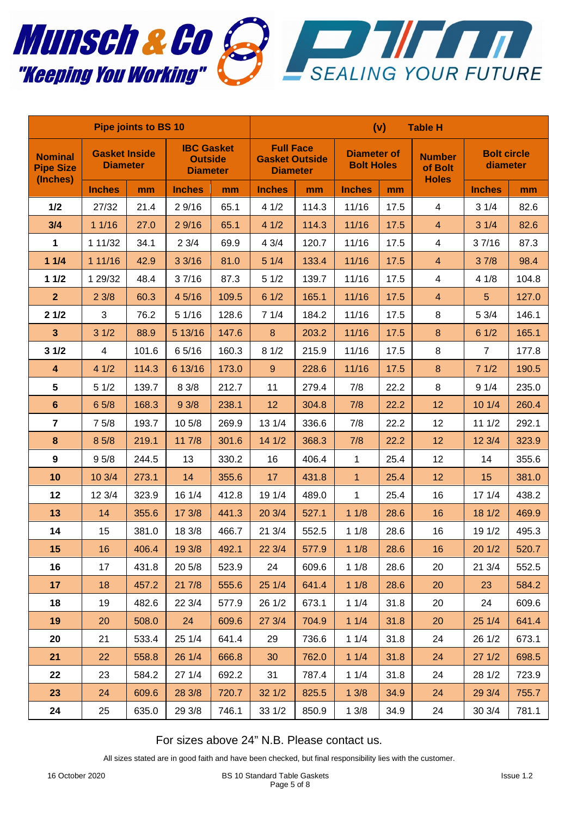

|                                                | <b>Pipe joints to BS 10</b>             |       |               |                                                        |               | (v)<br><b>Table H</b>                                        |                |                                         |                                          |                                |       |  |  |
|------------------------------------------------|-----------------------------------------|-------|---------------|--------------------------------------------------------|---------------|--------------------------------------------------------------|----------------|-----------------------------------------|------------------------------------------|--------------------------------|-------|--|--|
| <b>Nominal</b><br><b>Pipe Size</b><br>(Inches) | <b>Gasket Inside</b><br><b>Diameter</b> |       |               | <b>IBC Gasket</b><br><b>Outside</b><br><b>Diameter</b> |               | <b>Full Face</b><br><b>Gasket Outside</b><br><b>Diameter</b> |                | <b>Diameter of</b><br><b>Bolt Holes</b> | <b>Number</b><br>of Bolt<br><b>Holes</b> | <b>Bolt circle</b><br>diameter |       |  |  |
|                                                | <b>Inches</b>                           | mm    | <b>Inches</b> | mm                                                     | <b>Inches</b> | mm                                                           | <b>Inches</b>  | mm                                      |                                          | <b>Inches</b>                  | mm    |  |  |
| 1/2                                            | 27/32                                   | 21.4  | 29/16         | 65.1                                                   | 41/2          | 114.3                                                        | 11/16          | 17.5                                    | $\overline{4}$                           | 31/4                           | 82.6  |  |  |
| 3/4                                            | 11/16                                   | 27.0  | 29/16         | 65.1                                                   | 41/2          | 114.3                                                        | 11/16          | 17.5                                    | $\overline{4}$                           | 31/4                           | 82.6  |  |  |
| $\mathbf 1$                                    | 1 11/32                                 | 34.1  | 23/4          | 69.9                                                   | 43/4          | 120.7                                                        | 11/16          | 17.5                                    | $\overline{4}$                           | 37/16                          | 87.3  |  |  |
| 11/4                                           | 1 11/16                                 | 42.9  | 33/16         | 81.0                                                   | 51/4          | 133.4                                                        | 11/16          | 17.5                                    | $\overline{4}$                           | 37/8                           | 98.4  |  |  |
| 11/2                                           | 1 29/32                                 | 48.4  | 37/16         | 87.3                                                   | 51/2          | 139.7                                                        | 11/16          | 17.5                                    | $\overline{4}$                           | 41/8                           | 104.8 |  |  |
| 2 <sup>2</sup>                                 | 23/8                                    | 60.3  | 4 5/16        | 109.5                                                  | 61/2          | 165.1                                                        | 11/16          | 17.5                                    | $\overline{4}$                           | 5                              | 127.0 |  |  |
| 21/2                                           | 3                                       | 76.2  | 51/16         | 128.6                                                  | 71/4          | 184.2                                                        | 11/16          | 17.5                                    | 8                                        | 5 3/4                          | 146.1 |  |  |
| $\mathbf{3}$                                   | 31/2                                    | 88.9  | 5 13/16       | 147.6                                                  | $\bf 8$       | 203.2                                                        | 11/16          | 17.5                                    | $\bf 8$                                  | 61/2                           | 165.1 |  |  |
| 31/2                                           | 4                                       | 101.6 | 65/16         | 160.3                                                  | 81/2          | 215.9                                                        | 11/16          | 17.5                                    | 8                                        | $\overline{7}$                 | 177.8 |  |  |
| $\boldsymbol{4}$                               | 41/2                                    | 114.3 | 6 13/16       | 173.0                                                  | $9\,$         | 228.6                                                        | 11/16          | 17.5                                    | $\bf 8$                                  | 71/2                           | 190.5 |  |  |
| 5                                              | 51/2                                    | 139.7 | 8 3/8         | 212.7                                                  | 11            | 279.4                                                        | 7/8            | 22.2                                    | 8                                        | 91/4                           | 235.0 |  |  |
| $\boldsymbol{6}$                               | 6 5/8                                   | 168.3 | 93/8          | 238.1                                                  | 12            | 304.8                                                        | 7/8            | 22.2                                    | 12                                       | 10 1/4                         | 260.4 |  |  |
| $\overline{7}$                                 | 75/8                                    | 193.7 | 10 5/8        | 269.9                                                  | 13 1/4        | 336.6                                                        | 7/8            | 22.2                                    | 12                                       | 111/2                          | 292.1 |  |  |
| $\pmb{8}$                                      | 8 5/8                                   | 219.1 | 11 7/8        | 301.6                                                  | 141/2         | 368.3                                                        | 7/8            | 22.2                                    | 12                                       | 12 3/4                         | 323.9 |  |  |
| $\boldsymbol{9}$                               | 95/8                                    | 244.5 | 13            | 330.2                                                  | 16            | 406.4                                                        | $\mathbf{1}$   | 25.4                                    | 12                                       | 14                             | 355.6 |  |  |
| 10                                             | 10 3/4                                  | 273.1 | 14            | 355.6                                                  | 17            | 431.8                                                        | $\overline{1}$ | 25.4                                    | 12                                       | 15                             | 381.0 |  |  |
| 12                                             | 12 3/4                                  | 323.9 | 16 1/4        | 412.8                                                  | 19 1/4        | 489.0                                                        | 1              | 25.4                                    | 16                                       | 17 1/4                         | 438.2 |  |  |
| 13                                             | 14                                      | 355.6 | 17 3/8        | 441.3                                                  | 20 3/4        | 527.1                                                        | 11/8           | 28.6                                    | 16                                       | 18 1/2                         | 469.9 |  |  |
| 14                                             | 15                                      | 381.0 | 18 3/8        | 466.7                                                  | 21 3/4        | 552.5                                                        | 11/8           | 28.6                                    | 16                                       | 19 1/2                         | 495.3 |  |  |
| 15                                             | 16                                      | 406.4 | 19 3/8        | 492.1                                                  | 22 3/4        | 577.9                                                        | 11/8           | 28.6                                    | 16                                       | 201/2                          | 520.7 |  |  |
| 16                                             | 17                                      | 431.8 | 20 5/8        | 523.9                                                  | 24            | 609.6                                                        | 11/8           | 28.6                                    | 20                                       | 21 3/4                         | 552.5 |  |  |
| 17 <sub>2</sub>                                | 18                                      | 457.2 | 217/8         | 555.6                                                  | 251/4         | 641.4                                                        | 11/8           | 28.6                                    | 20                                       | 23                             | 584.2 |  |  |
| 18                                             | 19                                      | 482.6 | 22 3/4        | 577.9                                                  | 26 1/2        | 673.1                                                        | 11/4           | 31.8                                    | 20                                       | 24                             | 609.6 |  |  |
| 19                                             | 20                                      | 508.0 | 24            | 609.6                                                  | 27 3/4        | 704.9                                                        | 11/4           | 31.8                                    | 20                                       | 25 1/4                         | 641.4 |  |  |
| 20                                             | 21                                      | 533.4 | 25 1/4        | 641.4                                                  | 29            | 736.6                                                        | 11/4           | 31.8                                    | 24                                       | 26 1/2                         | 673.1 |  |  |
| 21                                             | 22                                      | 558.8 | 26 1/4        | 666.8                                                  | 30            | 762.0                                                        | 11/4           | 31.8                                    | 24                                       | 271/2                          | 698.5 |  |  |
| 22                                             | 23                                      | 584.2 | 27 1/4        | 692.2                                                  | 31            | 787.4                                                        | 11/4           | 31.8                                    | 24                                       | 28 1/2                         | 723.9 |  |  |
| 23                                             | 24                                      | 609.6 | 28 3/8        | 720.7                                                  | 32 1/2        | 825.5                                                        | 13/8           | 34.9                                    | 24                                       | 29 3/4                         | 755.7 |  |  |
| 24                                             | 25                                      | 635.0 | 29 3/8        | 746.1                                                  | 33 1/2        | 850.9                                                        | 13/8           | 34.9                                    | 24                                       | 303/4                          | 781.1 |  |  |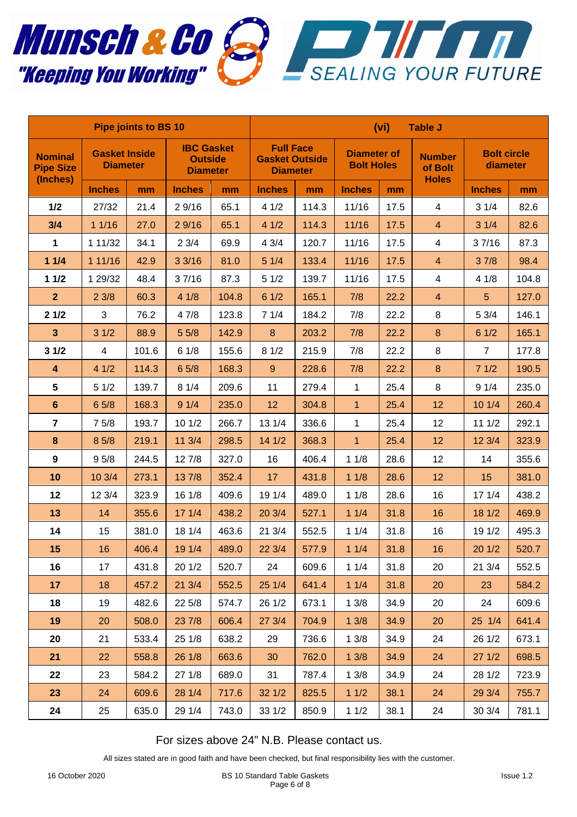

|                                                | <b>Pipe joints to BS 10</b>             |       |               |                                                        |               | (vi)<br><b>Table J</b>                                       |               |                                         |                                          |                                |       |  |  |
|------------------------------------------------|-----------------------------------------|-------|---------------|--------------------------------------------------------|---------------|--------------------------------------------------------------|---------------|-----------------------------------------|------------------------------------------|--------------------------------|-------|--|--|
| <b>Nominal</b><br><b>Pipe Size</b><br>(Inches) | <b>Gasket Inside</b><br><b>Diameter</b> |       |               | <b>IBC Gasket</b><br><b>Outside</b><br><b>Diameter</b> |               | <b>Full Face</b><br><b>Gasket Outside</b><br><b>Diameter</b> |               | <b>Diameter of</b><br><b>Bolt Holes</b> | <b>Number</b><br>of Bolt<br><b>Holes</b> | <b>Bolt circle</b><br>diameter |       |  |  |
|                                                | <b>Inches</b>                           | mm    | <b>Inches</b> | mm                                                     | <b>Inches</b> | mm                                                           | <b>Inches</b> | mm                                      |                                          | <b>Inches</b>                  | mm    |  |  |
| 1/2                                            | 27/32                                   | 21.4  | 29/16         | 65.1                                                   | 41/2          | 114.3                                                        | 11/16         | 17.5                                    | $\overline{4}$                           | 31/4                           | 82.6  |  |  |
| 3/4                                            | 11/16                                   | 27.0  | 29/16         | 65.1                                                   | 41/2          | 114.3                                                        | 11/16         | 17.5                                    | $\overline{4}$                           | 31/4                           | 82.6  |  |  |
| $\mathbf 1$                                    | 1 11/32                                 | 34.1  | 23/4          | 69.9                                                   | 43/4          | 120.7                                                        | 11/16         | 17.5                                    | $\overline{4}$                           | 37/16                          | 87.3  |  |  |
| 11/4                                           | 1 11/16                                 | 42.9  | 33/16         | 81.0                                                   | 51/4          | 133.4                                                        | 11/16         | 17.5                                    | $\overline{4}$                           | 37/8                           | 98.4  |  |  |
| 11/2                                           | 1 29/32                                 | 48.4  | 37/16         | 87.3                                                   | 51/2          | 139.7                                                        | 11/16         | 17.5                                    | $\overline{4}$                           | 41/8                           | 104.8 |  |  |
| 2 <sup>2</sup>                                 | 23/8                                    | 60.3  | 41/8          | 104.8                                                  | 61/2          | 165.1                                                        | 7/8           | 22.2                                    | $\overline{4}$                           | 5                              | 127.0 |  |  |
| 21/2                                           | 3                                       | 76.2  | 4 7/8         | 123.8                                                  | 71/4          | 184.2                                                        | 7/8           | 22.2                                    | 8                                        | 5 3/4                          | 146.1 |  |  |
| $\mathbf{3}$                                   | 31/2                                    | 88.9  | 55/8          | 142.9                                                  | $\bf 8$       | 203.2                                                        | 7/8           | 22.2                                    | $\bf 8$                                  | 61/2                           | 165.1 |  |  |
| 31/2                                           | 4                                       | 101.6 | 61/8          | 155.6                                                  | 81/2          | 215.9                                                        | 7/8           | 22.2                                    | 8                                        | $\overline{7}$                 | 177.8 |  |  |
| $\boldsymbol{4}$                               | 41/2                                    | 114.3 | 65/8          | 168.3                                                  | $9\,$         | 228.6                                                        | 7/8           | 22.2                                    | $\bf 8$                                  | 71/2                           | 190.5 |  |  |
| 5                                              | 51/2                                    | 139.7 | 81/4          | 209.6                                                  | 11            | 279.4                                                        | 1             | 25.4                                    | 8                                        | 91/4                           | 235.0 |  |  |
| $\boldsymbol{6}$                               | 6 5/8                                   | 168.3 | 91/4          | 235.0                                                  | 12            | 304.8                                                        | $\mathbf 1$   | 25.4                                    | 12                                       | 10 1/4                         | 260.4 |  |  |
| $\overline{7}$                                 | 75/8                                    | 193.7 | 101/2         | 266.7                                                  | 13 1/4        | 336.6                                                        | 1             | 25.4                                    | 12                                       | 111/2                          | 292.1 |  |  |
| $\pmb{8}$                                      | 8 5/8                                   | 219.1 | 11 3/4        | 298.5                                                  | 141/2         | 368.3                                                        | $\mathbf{1}$  | 25.4                                    | 12                                       | 12 3/4                         | 323.9 |  |  |
| $\boldsymbol{9}$                               | 95/8                                    | 244.5 | 12 7/8        | 327.0                                                  | 16            | 406.4                                                        | 11/8          | 28.6                                    | 12                                       | 14                             | 355.6 |  |  |
| 10                                             | 10 3/4                                  | 273.1 | 137/8         | 352.4                                                  | 17            | 431.8                                                        | 11/8          | 28.6                                    | 12                                       | 15                             | 381.0 |  |  |
| 12                                             | 12 3/4                                  | 323.9 | 16 1/8        | 409.6                                                  | 19 1/4        | 489.0                                                        | 11/8          | 28.6                                    | 16                                       | 17 1/4                         | 438.2 |  |  |
| 13                                             | 14                                      | 355.6 | 17 1/4        | 438.2                                                  | 20 3/4        | 527.1                                                        | 11/4          | 31.8                                    | 16                                       | 18 1/2                         | 469.9 |  |  |
| 14                                             | 15                                      | 381.0 | 18 1/4        | 463.6                                                  | 21 3/4        | 552.5                                                        | 11/4          | 31.8                                    | 16                                       | 19 1/2                         | 495.3 |  |  |
| 15                                             | 16                                      | 406.4 | 19 1/4        | 489.0                                                  | 22 3/4        | 577.9                                                        | 11/4          | 31.8                                    | 16                                       | 201/2                          | 520.7 |  |  |
| 16                                             | 17                                      | 431.8 | 20 1/2        | 520.7                                                  | 24            | 609.6                                                        | 11/4          | 31.8                                    | 20                                       | 21 3/4                         | 552.5 |  |  |
| 17 <sub>2</sub>                                | 18                                      | 457.2 | 21 3/4        | 552.5                                                  | 251/4         | 641.4                                                        | 11/4          | 31.8                                    | 20                                       | 23                             | 584.2 |  |  |
| 18                                             | 19                                      | 482.6 | 22 5/8        | 574.7                                                  | 26 1/2        | 673.1                                                        | 13/8          | 34.9                                    | 20                                       | 24                             | 609.6 |  |  |
| 19                                             | 20                                      | 508.0 | 23 7/8        | 606.4                                                  | 27 3/4        | 704.9                                                        | 13/8          | 34.9                                    | 20                                       | 25 1/4                         | 641.4 |  |  |
| 20                                             | 21                                      | 533.4 | 25 1/8        | 638.2                                                  | 29            | 736.6                                                        | 13/8          | 34.9                                    | 24                                       | 26 1/2                         | 673.1 |  |  |
| 21                                             | 22                                      | 558.8 | 26 1/8        | 663.6                                                  | 30            | 762.0                                                        | 13/8          | 34.9                                    | 24                                       | 271/2                          | 698.5 |  |  |
| 22                                             | 23                                      | 584.2 | 27 1/8        | 689.0                                                  | 31            | 787.4                                                        | 13/8          | 34.9                                    | 24                                       | 28 1/2                         | 723.9 |  |  |
| 23                                             | 24                                      | 609.6 | 28 1/4        | 717.6                                                  | 32 1/2        | 825.5                                                        | 11/2          | 38.1                                    | 24                                       | 29 3/4                         | 755.7 |  |  |
| 24                                             | 25                                      | 635.0 | 29 1/4        | 743.0                                                  | 33 1/2        | 850.9                                                        | 11/2          | 38.1                                    | 24                                       | 303/4                          | 781.1 |  |  |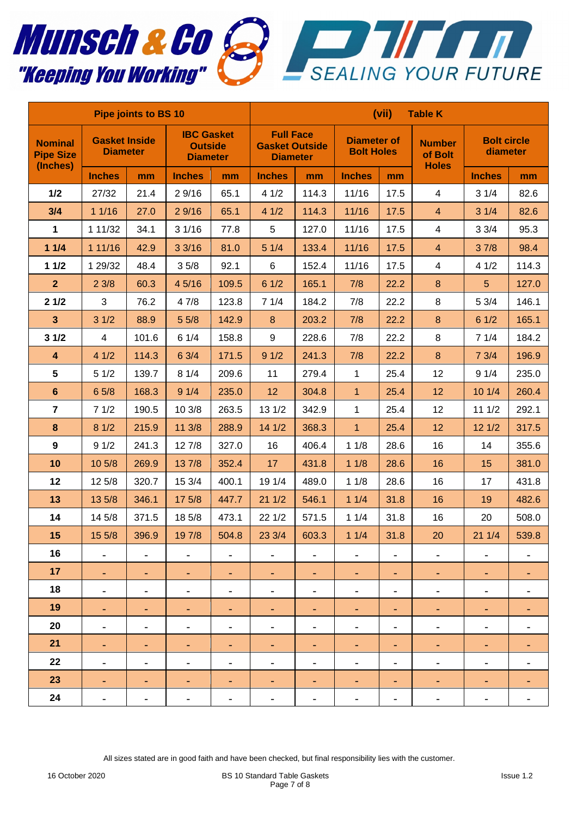



|                                                | <b>Pipe joints to BS 10</b>             |       |               |                                                        |                              | (vii)<br><b>Table K</b>                                      |                |                                         |                                          |                                |       |  |  |  |
|------------------------------------------------|-----------------------------------------|-------|---------------|--------------------------------------------------------|------------------------------|--------------------------------------------------------------|----------------|-----------------------------------------|------------------------------------------|--------------------------------|-------|--|--|--|
| <b>Nominal</b><br><b>Pipe Size</b><br>(Inches) | <b>Gasket Inside</b><br><b>Diameter</b> |       |               | <b>IBC Gasket</b><br><b>Outside</b><br><b>Diameter</b> |                              | <b>Full Face</b><br><b>Gasket Outside</b><br><b>Diameter</b> |                | <b>Diameter of</b><br><b>Bolt Holes</b> | <b>Number</b><br>of Bolt<br><b>Holes</b> | <b>Bolt circle</b><br>diameter |       |  |  |  |
|                                                | <b>Inches</b>                           | mm    | <b>Inches</b> | mm                                                     | <b>Inches</b>                | mm                                                           | <b>Inches</b>  | mm                                      |                                          | <b>Inches</b>                  | mm    |  |  |  |
| 1/2                                            | 27/32                                   | 21.4  | 2 9/16        | 65.1                                                   | 41/2                         | 114.3                                                        | 11/16          | 17.5                                    | 4                                        | 31/4                           | 82.6  |  |  |  |
| 3/4                                            | 11/16                                   | 27.0  | 29/16         | 65.1                                                   | 41/2                         | 114.3                                                        | 11/16          | 17.5                                    | $\overline{4}$                           | 31/4                           | 82.6  |  |  |  |
| 1                                              | 1 11/32                                 | 34.1  | 31/16         | 77.8                                                   | 5                            | 127.0                                                        | 11/16          | 17.5                                    | 4                                        | 33/4                           | 95.3  |  |  |  |
| 11/4                                           | 111/16                                  | 42.9  | 33/16         | 81.0                                                   | 51/4                         | 133.4                                                        | 11/16          | 17.5                                    | $\overline{4}$                           | 37/8                           | 98.4  |  |  |  |
| 11/2                                           | 1 29/32                                 | 48.4  | 35/8          | 92.1                                                   | $\,6$                        | 152.4                                                        | 11/16          | 17.5                                    | 4                                        | 41/2                           | 114.3 |  |  |  |
| $\overline{2}$                                 | 23/8                                    | 60.3  | 4 5/16        | 109.5                                                  | 61/2                         | 165.1                                                        | 7/8            | 22.2                                    | $\bf 8$                                  | 5                              | 127.0 |  |  |  |
| 21/2                                           | 3                                       | 76.2  | 47/8          | 123.8                                                  | 71/4                         | 184.2                                                        | 7/8            | 22.2                                    | 8                                        | 5 3/4                          | 146.1 |  |  |  |
| $\overline{\mathbf{3}}$                        | 31/2                                    | 88.9  | 55/8          | 142.9                                                  | 8                            | 203.2                                                        | 7/8            | 22.2                                    | 8                                        | 61/2                           | 165.1 |  |  |  |
| 31/2                                           | 4                                       | 101.6 | 61/4          | 158.8                                                  | $\boldsymbol{9}$             | 228.6                                                        | 7/8            | 22.2                                    | 8                                        | 71/4                           | 184.2 |  |  |  |
| 4                                              | 41/2                                    | 114.3 | 6 3/4         | 171.5                                                  | 91/2                         | 241.3                                                        | 7/8            | 22.2                                    | 8                                        | 73/4                           | 196.9 |  |  |  |
| 5                                              | $51/2$                                  | 139.7 | 81/4          | 209.6                                                  | 11                           | 279.4                                                        | $\mathbf 1$    | 25.4                                    | 12                                       | 91/4                           | 235.0 |  |  |  |
| $6\phantom{a}$                                 | 65/8                                    | 168.3 | 91/4          | 235.0                                                  | 12                           | 304.8                                                        | $\overline{1}$ | 25.4                                    | 12                                       | 10 1/4                         | 260.4 |  |  |  |
| $\overline{7}$                                 | 71/2                                    | 190.5 | 10 3/8        | 263.5                                                  | 13 1/2                       | 342.9                                                        | $\mathbf{1}$   | 25.4                                    | 12                                       | 111/2                          | 292.1 |  |  |  |
| $\pmb{8}$                                      | 81/2                                    | 215.9 | 11 3/8        | 288.9                                                  | 14 1/2                       | 368.3                                                        | $\mathbf{1}$   | 25.4                                    | 12                                       | 12 1/2                         | 317.5 |  |  |  |
| 9                                              | 91/2                                    | 241.3 | 12 7/8        | 327.0                                                  | 16                           | 406.4                                                        | 11/8           | 28.6                                    | 16                                       | 14                             | 355.6 |  |  |  |
| 10                                             | 10 5/8                                  | 269.9 | 137/8         | 352.4                                                  | 17                           | 431.8                                                        | 11/8           | 28.6                                    | 16                                       | 15                             | 381.0 |  |  |  |
| 12                                             | 12 5/8                                  | 320.7 | 15 3/4        | 400.1                                                  | 19 1/4                       | 489.0                                                        | 11/8           | 28.6                                    | 16                                       | 17                             | 431.8 |  |  |  |
| 13                                             | 13 5/8                                  | 346.1 | 17 5/8        | 447.7                                                  | 211/2                        | 546.1                                                        | 11/4           | 31.8                                    | 16                                       | 19                             | 482.6 |  |  |  |
| 14                                             | 14 5/8                                  | 371.5 | 18 5/8        | 473.1                                                  | 22 1/2                       | 571.5                                                        | 11/4           | 31.8                                    | 16                                       | 20                             | 508.0 |  |  |  |
| 15                                             | 15 5/8                                  | 396.9 | 197/8         | 504.8                                                  | 23 3/4                       | 603.3                                                        | 11/4           | 31.8                                    | 20                                       | 21 1/4                         | 539.8 |  |  |  |
| 16                                             |                                         |       |               |                                                        |                              |                                                              |                |                                         |                                          | $\qquad \qquad \blacksquare$   |       |  |  |  |
| 17                                             |                                         |       | ٠             |                                                        |                              |                                                              | ٠              |                                         |                                          |                                |       |  |  |  |
| 18                                             |                                         |       |               |                                                        |                              |                                                              |                |                                         |                                          |                                |       |  |  |  |
| 19                                             | ۰                                       | ۰     | ٠             | ۰                                                      | ٠                            | ۰                                                            | ٠              |                                         |                                          |                                |       |  |  |  |
| 20                                             | -                                       | -     | ۰             | -                                                      | ۰                            | -                                                            | Ξ.             | -                                       | -                                        | ۰                              |       |  |  |  |
| 21                                             | ٠                                       | ٠     | ٠             | ٠                                                      | ٠                            | ٠                                                            | ٠              | ۰                                       |                                          |                                |       |  |  |  |
| 22                                             | -                                       |       | -             | -                                                      | $\qquad \qquad \blacksquare$ | -                                                            | $\blacksquare$ |                                         |                                          |                                |       |  |  |  |
| 23                                             |                                         |       | ٠             | ۰                                                      | ٠                            | ۰                                                            | ٠              | ٠                                       | ٠                                        |                                |       |  |  |  |
| 24                                             |                                         |       |               |                                                        |                              |                                                              |                |                                         |                                          |                                |       |  |  |  |